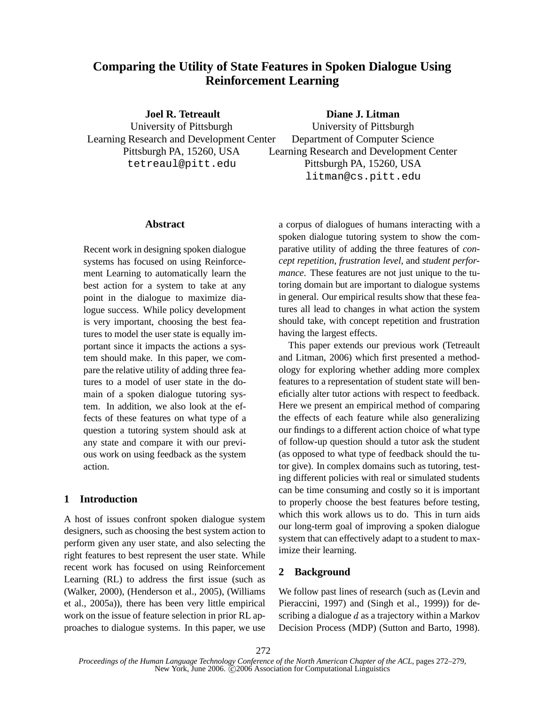# **Comparing the Utility of State Features in Spoken Dialogue Using Reinforcement Learning**

**Joel R. Tetreault** University of Pittsburgh Learning Research and Development Center Pittsburgh PA, 15260, USA tetreaul@pitt.edu

**Diane J. Litman**

University of Pittsburgh Department of Computer Science Learning Research and Development Center Pittsburgh PA, 15260, USA litman@cs.pitt.edu

#### **Abstract**

Recent work in designing spoken dialogue systems has focused on using Reinforcement Learning to automatically learn the best action for a system to take at any point in the dialogue to maximize dialogue success. While policy development is very important, choosing the best features to model the user state is equally important since it impacts the actions a system should make. In this paper, we compare the relative utility of adding three features to a model of user state in the domain of a spoken dialogue tutoring system. In addition, we also look at the effects of these features on what type of a question a tutoring system should ask at any state and compare it with our previous work on using feedback as the system action.

# **1 Introduction**

A host of issues confront spoken dialogue system designers, such as choosing the best system action to perform given any user state, and also selecting the right features to best represent the user state. While recent work has focused on using Reinforcement Learning (RL) to address the first issue (such as (Walker, 2000), (Henderson et al., 2005), (Williams et al., 2005a)), there has been very little empirical work on the issue of feature selection in prior RL approaches to dialogue systems. In this paper, we use

a corpus of dialogues of humans interacting with a spoken dialogue tutoring system to show the comparative utility of adding the three features of *concept repetition*, *frustration level*, and *student performance*. These features are not just unique to the tutoring domain but are important to dialogue systems in general. Our empirical results show that these features all lead to changes in what action the system should take, with concept repetition and frustration having the largest effects.

This paper extends our previous work (Tetreault and Litman, 2006) which first presented a methodology for exploring whether adding more complex features to a representation of student state will beneficially alter tutor actions with respect to feedback. Here we present an empirical method of comparing the effects of each feature while also generalizing our findings to a different action choice of what type of follow-up question should a tutor ask the student (as opposed to what type of feedback should the tutor give). In complex domains such as tutoring, testing different policies with real or simulated students can be time consuming and costly so it is important to properly choose the best features before testing, which this work allows us to do. This in turn aids our long-term goal of improving a spoken dialogue system that can effectively adapt to a student to maximize their learning.

# **2 Background**

We follow past lines of research (such as (Levin and Pieraccini, 1997) and (Singh et al., 1999)) for describing a dialogue  $d$  as a trajectory within a Markov Decision Process (MDP) (Sutton and Barto, 1998).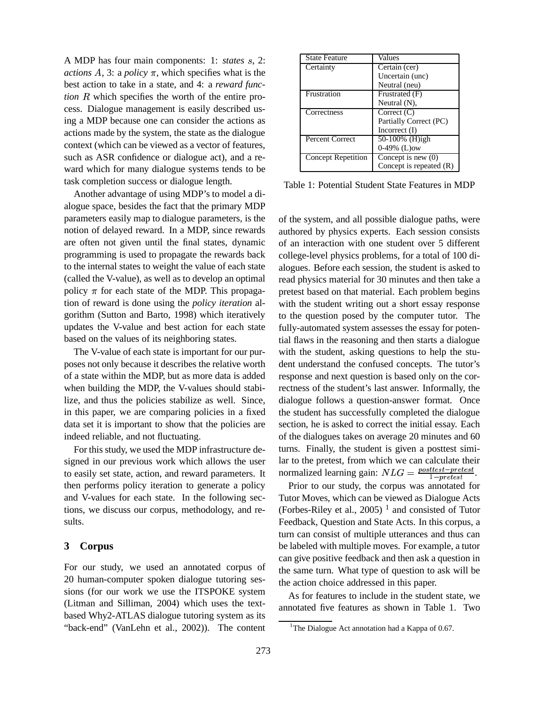A MDP has four main components: 1: *states* s, 2: *actions*  $A$ , 3: a *policy*  $\pi$ , which specifies what is the best action to take in a state, and 4: a *reward func-* $$ cess. Dialogue management is easily described using a MDP because one can consider the actions as actions made by the system, the state as the dialogue context (which can be viewed as a vector of features, such as ASR confidence or dialogue act), and a reward which for many dialogue systems tends to be task completion success or dialogue length.

Another advantage of using MDP's to model a dialogue space, besides the fact that the primary MDP parameters easily map to dialogue parameters, is the notion of delayed reward. In a MDP, since rewards are often not given until the final states, dynamic programming is used to propagate the rewards back to the internal states to weight the value of each state (called the V-value), as well as to develop an optimal policy  $\pi$  for each state of the MDP. This propagation of reward is done using the *policy iteration* algorithm (Sutton and Barto, 1998) which iteratively updates the V-value and best action for each state based on the values of its neighboring states.

The V-value of each state is important for our purposes not only because it describes the relative worth of a state within the MDP, but as more data is added when building the MDP, the V-values should stabilize, and thus the policies stabilize as well. Since, in this paper, we are comparing policies in a fixed data set it is important to show that the policies are indeed reliable, and not fluctuating.

For this study, we used the MDP infrastructure designed in our previous work which allows the user to easily set state, action, and reward parameters. It then performs policy iteration to generate a policy and V-values for each state. In the following sections, we discuss our corpus, methodology, and results.

#### **3 Corpus**

For our study, we used an annotated corpus of 20 human-computer spoken dialogue tutoring sessions (for our work we use the ITSPOKE system (Litman and Silliman, 2004) which uses the textbased Why2-ATLAS dialogue tutoring system as its "back-end" (VanLehn et al., 2002)). The content

| <b>State Feature</b>      | Values                    |
|---------------------------|---------------------------|
| Certainty                 | $Certain$ (cer)           |
|                           | Uncertain (unc)           |
|                           | Neutral (neu)             |
| Frustration               | Frustrated (F)            |
|                           | Neutral $(N)$ ,           |
| Correctness               | Correct $(C)$             |
|                           | Partially Correct (PC)    |
|                           | Incorrect $(I)$           |
| <b>Percent Correct</b>    | 50-100% (H)igh            |
|                           | $0-49\%$ (L)ow            |
| <b>Concept Repetition</b> | Concept is new $(0)$      |
|                           | Concept is repeated $(R)$ |

Table 1: Potential Student State Features in MDP

of the system, and all possible dialogue paths, were authored by physics experts. Each session consists of an interaction with one student over 5 different college-level physics problems, for a total of 100 dialogues. Before each session, the student is asked to read physics material for 30 minutes and then take a pretest based on that material. Each problem begins with the student writing out a short essay response to the question posed by the computer tutor. The fully-automated system assesses the essay for potential flaws in the reasoning and then starts a dialogue with the student, asking questions to help the student understand the confused concepts. The tutor's response and next question is based only on the correctness of the student's last answer. Informally, the dialogue follows a question-answer format. Once the student has successfully completed the dialogue section, he is asked to correct the initial essay. Each of the dialogues takes on average 20 minutes and 60 turns. Finally, the student is given a posttest similar to the pretest, from which we can calculate their normalized learning gain:  $NLG = \frac{posttest - pretest}{1 - pretest}$ .

Prior to our study, the corpus was annotated for Tutor Moves, which can be viewed as Dialogue Acts (Forbes-Riley et al., 2005)<sup>1</sup> and consisted of Tutor Feedback, Question and State Acts. In this corpus, a turn can consist of multiple utterances and thus can be labeled with multiple moves. For example, a tutor can give positive feedback and then ask a question in the same turn. What type of question to ask will be the action choice addressed in this paper.

As for features to include in the student state, we annotated five features as shown in Table 1. Two

<sup>&</sup>lt;sup>1</sup>The Dialogue Act annotation had a Kappa of 0.67.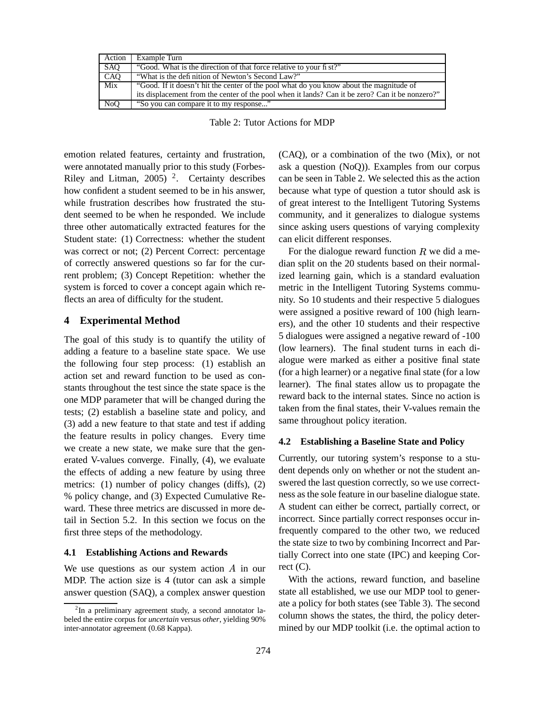| Action           | Example Turn                                                                                    |
|------------------|-------------------------------------------------------------------------------------------------|
| <b>SAO</b>       | "Good. What is the direction of that force relative to your fi st?"                             |
| CAQ              | "What is the definition of Newton's Second Law?"                                                |
| Mix              | "Good. If it doesn't hit the center of the pool what do you know about the magnitude of         |
|                  | its displacement from the center of the pool when it lands? Can it be zero? Can it be nonzero?" |
| N <sub>o</sub> O | "So you can compare it to my response"                                                          |

Table 2: Tutor Actions for MDP

emotion related features, certainty and frustration, were annotated manually prior to this study (Forbes-Riley and Litman, 2005)<sup>2</sup>. Certainty describes how confident a student seemed to be in his answer, while frustration describes how frustrated the student seemed to be when he responded. We include three other automatically extracted features for the Student state: (1) Correctness: whether the student was correct or not; (2) Percent Correct: percentage of correctly answered questions so far for the current problem; (3) Concept Repetition: whether the system is forced to cover a concept again which reflects an area of difficulty for the student.

# **4 Experimental Method**

The goal of this study is to quantify the utility of adding a feature to a baseline state space. We use the following four step process: (1) establish an action set and reward function to be used as constants throughout the test since the state space is the one MDP parameter that will be changed during the tests; (2) establish a baseline state and policy, and (3) add a new feature to that state and test if adding the feature results in policy changes. Every time we create a new state, we make sure that the generated V-values converge. Finally, (4), we evaluate the effects of adding a new feature by using three metrics: (1) number of policy changes (diffs), (2) % policy change, and (3) Expected Cumulative Reward. These three metrics are discussed in more detail in Section 5.2. In this section we focus on the first three steps of the methodology.

#### **4.1 Establishing Actions and Rewards**

We use questions as our system action  $A$  in our rect MDP. The action size is 4 (tutor can ask a simple answer question (SAQ), a complex answer question

(CAQ), or a combination of the two (Mix), or not ask a question (NoQ)). Examples from our corpus can be seen in Table 2. We selected this as the action because what type of question a tutor should ask is of great interest to the Intelligent Tutoring Systems community, and it generalizes to dialogue systems since asking users questions of varying complexity can elicit different responses.

For the dialogue reward function  $R$  we did a median split on the 20 students based on their normalized learning gain, which is a standard evaluation metric in the Intelligent Tutoring Systems community. So 10 students and their respective 5 dialogues were assigned a positive reward of 100 (high learners), and the other 10 students and their respective 5 dialogues were assigned a negative reward of -100 (low learners). The final student turns in each dialogue were marked as either a positive final state (for a high learner) or a negative final state (for a low learner). The final states allow us to propagate the reward back to the internal states. Since no action is taken from the final states, their V-values remain the same throughout policy iteration.

# **4.2 Establishing a Baseline State and Policy**

Currently, our tutoring system's response to a student depends only on whether or not the student answered the last question correctly, so we use correctness as the sole feature in our baseline dialogue state. A student can either be correct, partially correct, or incorrect. Since partially correct responses occur infrequently compared to the other two, we reduced the state size to two by combining Incorrect and Partially Correct into one state (IPC) and keeping Correct  $(C)$ .

With the actions, reward function, and baseline state all established, we use our MDP tool to generate a policy for both states (see Table 3). The second column shows the states, the third, the policy determined by our MDP toolkit (i.e. the optimal action to

 $2$ In a preliminary agreement study, a second annotator labeled the entire corpus for *uncertain* versus *other*, yielding 90% inter-annotator agreement (0.68 Kappa).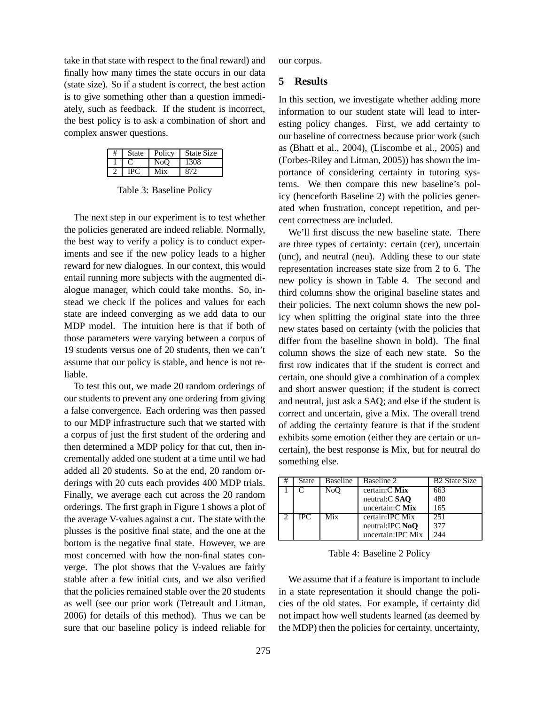take in that state with respect to the final reward) and finally how many times the state occurs in our data (state size). So if a student is correct, the best action is to give something other than a question immediately, such as feedback. If the student is incorrect, the best policy is to ask a combination of short and complex answer questions.

| <b>State</b> | Policy           | <b>State Size</b> |
|--------------|------------------|-------------------|
|              | N <sub>o</sub> O | 1308              |
| I DC         | Mix              | 872               |

Table 3: Baseline Policy

The next step in our experiment is to test whether the policies generated are indeed reliable. Normally, the best way to verify a policy is to conduct experiments and see if the new policy leads to a higher reward for new dialogues. In our context, this would entail running more subjects with the augmented dialogue manager, which could take months. So, instead we check if the polices and values for each state are indeed converging as we add data to our MDP model. The intuition here is that if both of those parameters were varying between a corpus of 19 students versus one of 20 students, then we can't assume that our policy is stable, and hence is not reliable.

To test this out, we made 20 random orderings of our students to prevent any one ordering from giving a false convergence. Each ordering was then passed to our MDP infrastructure such that we started with a corpus of just the first student of the ordering and then determined a MDP policy for that cut, then incrementally added one student at a time until we had added all 20 students. So at the end, 20 random orderings with 20 cuts each provides 400 MDP trials. Finally, we average each cut across the 20 random orderings. The first graph in Figure 1 shows a plot of the average V-values against a cut. The state with the plusses is the positive final state, and the one at the bottom is the negative final state. However, we are most concerned with how the non-final states converge. The plot shows that the V-values are fairly stable after a few initial cuts, and we also verified that the policies remained stable over the 20 students as well (see our prior work (Tetreault and Litman, 2006) for details of this method). Thus we can be sure that our baseline policy is indeed reliable for

our corpus.

#### **5 Results**

In this section, we investigate whether adding more information to our student state will lead to interesting policy changes. First, we add certainty to our baseline of correctness because prior work (such as (Bhatt et al., 2004), (Liscombe et al., 2005) and (Forbes-Riley and Litman, 2005)) has shown the importance of considering certainty in tutoring systems. We then compare this new baseline's policy (henceforth Baseline 2) with the policies generated when frustration, concept repetition, and percent correctness are included.

We'll first discuss the new baseline state. There are three types of certainty: certain (cer), uncertain (unc), and neutral (neu). Adding these to our state representation increases state size from 2 to 6. The new policy is shown in Table 4. The second and third columns show the original baseline states and their policies. The next column shows the new policy when splitting the original state into the three new states based on certainty (with the policies that differ from the baseline shown in bold). The final column shows the size of each new state. So the first row indicates that if the student is correct and certain, one should give a combination of a complex and short answer question; if the student is correct and neutral, just ask a SAQ; and else if the student is correct and uncertain, give a Mix. The overall trend of adding the certainty feature is that if the student exhibits some emotion (either they are certain or uncertain), the best response is Mix, but for neutral do something else.

| # | State      | Baseline | Baseline 2              | <b>B2</b> State Size |
|---|------------|----------|-------------------------|----------------------|
|   |            | NoO      | certain: $C$ Mix        | 663                  |
|   |            |          | neutral:C SAO           | 480                  |
|   |            |          | uncertain: $C$ Mix      | 165                  |
|   | <b>IPC</b> | Mix      | certain: <b>IPC</b> Mix | 251                  |
|   |            |          | neutral: IPC NoO        | 377                  |
|   |            |          | uncertain: IPC Mix      | 244                  |

Table 4: Baseline 2 Policy

We assume that if a feature is important to include in a state representation it should change the policies of the old states. For example, if certainty did not impact how well students learned (as deemed by the MDP) then the policies for certainty, uncertainty,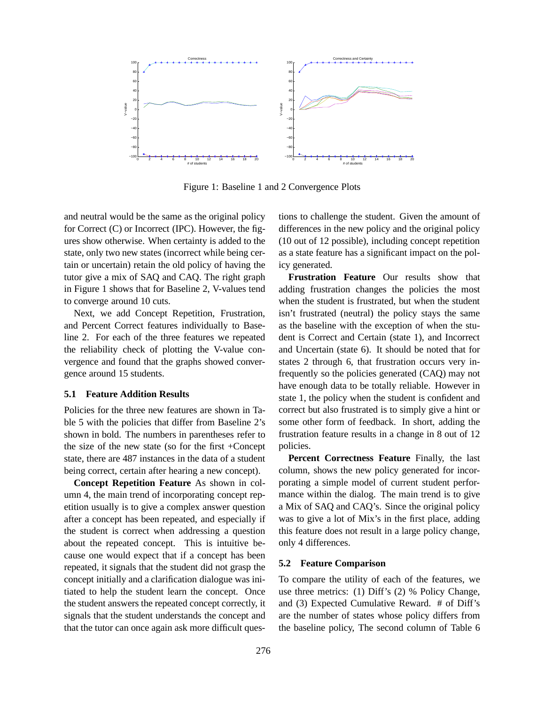

Figure 1: Baseline 1 and 2 Convergence Plots

and neutral would be the same as the original policy for Correct (C) or Incorrect (IPC). However, the figures show otherwise. When certainty is added to the state, only two new states (incorrect while being certain or uncertain) retain the old policy of having the tutor give a mix of SAQ and CAQ. The right graph in Figure 1 shows that for Baseline 2, V-values tend to converge around 10 cuts.

Next, we add Concept Repetition, Frustration, and Percent Correct features individually to Baseline 2. For each of the three features we repeated the reliability check of plotting the V-value convergence and found that the graphs showed convergence around 15 students.

#### **5.1 Feature Addition Results**

Policies for the three new features are shown in Table 5 with the policies that differ from Baseline 2's shown in bold. The numbers in parentheses refer to the size of the new state (so for the first +Concept state, there are 487 instances in the data of a student being correct, certain after hearing a new concept).

**Concept Repetition Feature** As shown in column 4, the main trend of incorporating concept repetition usually is to give a complex answer question after a concept has been repeated, and especially if the student is correct when addressing a question about the repeated concept. This is intuitive because one would expect that if a concept has been repeated, it signals that the student did not grasp the concept initially and a clarification dialogue was initiated to help the student learn the concept. Once the student answers the repeated concept correctly, it signals that the student understands the concept and that the tutor can once again ask more difficult questions to challenge the student. Given the amount of differences in the new policy and the original policy (10 out of 12 possible), including concept repetition as a state feature has a significant impact on the policy generated.

**Frustration Feature** Our results show that adding frustration changes the policies the most when the student is frustrated, but when the student isn't frustrated (neutral) the policy stays the same as the baseline with the exception of when the student is Correct and Certain (state 1), and Incorrect and Uncertain (state 6). It should be noted that for states 2 through 6, that frustration occurs very infrequently so the policies generated (CAQ) may not have enough data to be totally reliable. However in state 1, the policy when the student is confident and correct but also frustrated is to simply give a hint or some other form of feedback. In short, adding the frustration feature results in a change in 8 out of 12 policies.

**Percent Correctness Feature** Finally, the last column, shows the new policy generated for incorporating a simple model of current student performance within the dialog. The main trend is to give a Mix of SAQ and CAQ's. Since the original policy was to give a lot of Mix's in the first place, adding this feature does not result in a large policy change, only 4 differences.

#### **5.2 Feature Comparison**

To compare the utility of each of the features, we use three metrics: (1) Diff's (2) % Policy Change, and (3) Expected Cumulative Reward. # of Diff's are the number of states whose policy differs from the baseline policy, The second column of Table 6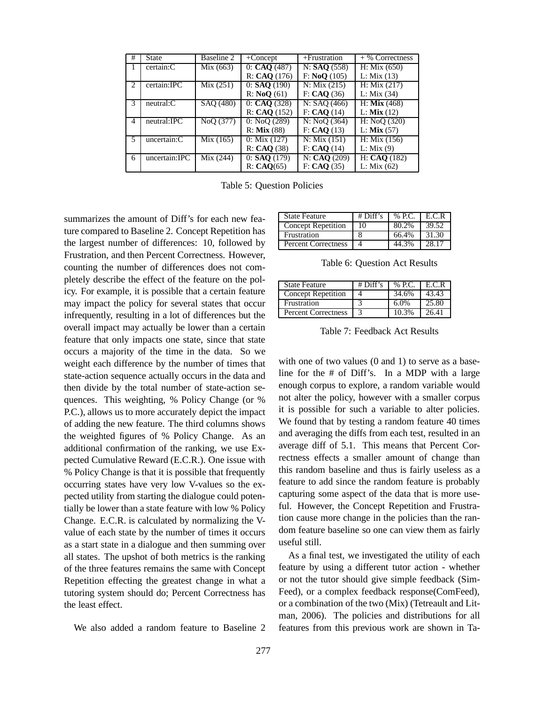| #             | <b>State</b>     | Baseline 2 | $+$ Concept      | $+$ Frustration | $+$ % Correctness |
|---------------|------------------|------------|------------------|-----------------|-------------------|
|               | certain:C        | Mix (663)  | 0: CAO (487)     | N: SAO (558)    | H: Mix(650)       |
|               |                  |            | R: CAQ (176)     | F: NoQ (105)    | L: Mix(13)        |
| $\mathcal{D}$ | certain: IPC     | Mix(251)   | $0:$ SAO $(190)$ | N: Mix(215)     | H: Mix(217)       |
|               |                  |            | R: NoO(61)       | F: CAO (36)     | L: Mix(34)        |
| 3             | $neutrals$ : $C$ | SAO (480)  | 0: CAO (328)     | N: SAO (466)    | $H:$ Mix $(468)$  |
|               |                  |            | R: CAO(152)      | F: CAO(14)      | $L:$ Mix $(12)$   |
| 4             | neutral:IPC      | NoO (377)  | 0: NoO(289)      | N: NoO(364)     | H: NoO(320)       |
|               |                  |            | $R:$ Mix $(88)$  | F: CAO(13)      | $L:$ Mix $(57)$   |
| 5             | uncertain:C      | Mix (165)  | 0: Mix(127)      | N: Mix(151)     | H: Mix(156)       |
|               |                  |            | R: CAO(38)       | F: CAO(14)      | L: Mix $(9)$      |
| 6             | uncertain:IPC    | Mix (244)  | $0:$ SAO $(179)$ | N: CAO(209)     | H: CAO (182)      |
|               |                  |            | R: CAO(65)       | F: CAO (35)     | L: Mix(62)        |

Table 5: Question Policies

summarizes the amount of Diff's for each new feature compared to Baseline 2. Concept Repetition has the largest number of differences: 10, followed by Frustration, and then Percent Correctness. However, counting the number of differences does not completely describe the effect of the feature on the policy. For example, it is possible that a certain feature may impact the policy for several states that occur infrequently, resulting in a lot of differences but the overall impact may actually be lower than a certain feature that only impacts one state, since that state occurs a majority of the time in the data. So we weight each difference by the number of times that state-action sequence actually occurs in the data and then divide by the total number of state-action sequences. This weighting, % Policy Change (or % P.C.), allows us to more accurately depict the impact of adding the new feature. The third columns shows the weighted figures of % Policy Change. As an additional confirmation of the ranking, we use Expected Cumulative Reward (E.C.R.). One issue with % Policy Change is that it is possible that frequently occurring states have very low V-values so the expected utility from starting the dialogue could potentially be lower than a state feature with low % Policy Change. E.C.R. is calculated by normalizing the Vvalue of each state by the number of times it occurs as a start state in a dialogue and then summing over all states. The upshot of both metrics is the ranking of the three features remains the same with Concept Repetition effecting the greatest change in what a tutoring system should do; Percent Correctness has the least effect.

We also added a random feature to Baseline 2

| <b>State Feature</b>       | # $Diff's$ | $%$ P.C. $\parallel$ E.C.R |       |
|----------------------------|------------|----------------------------|-------|
| <b>Concept Repetition</b>  | 10         | 80.2%                      | 39.52 |
| Frustration                |            | 66.4%                      | 31.30 |
| <b>Percent Correctness</b> |            | 44.3%                      | 28.17 |

Table 6: Question Act Results

| <b>State Feature</b>       | $#$ Diff's | % P.C. | E.C.R |
|----------------------------|------------|--------|-------|
| Concept Repetition         |            | 34.6%  | 43.43 |
| Frustration                |            | 6.0%   | 25.80 |
| <b>Percent Correctness</b> |            | 10.3%  | 26.41 |

Table 7: Feedback Act Results

with one of two values (0 and 1) to serve as a baseline for the # of Diff's. In a MDP with a large enough corpus to explore, a random variable would not alter the policy, however with a smaller corpus it is possible for such a variable to alter policies. We found that by testing a random feature 40 times and averaging the diffs from each test, resulted in an average diff of 5.1. This means that Percent Correctness effects a smaller amount of change than this random baseline and thus is fairly useless as a feature to add since the random feature is probably capturing some aspect of the data that is more useful. However, the Concept Repetition and Frustration cause more change in the policies than the random feature baseline so one can view them as fairly useful still.

As a final test, we investigated the utility of each feature by using a different tutor action - whether or not the tutor should give simple feedback (Sim-Feed), or a complex feedback response(ComFeed), or a combination of the two (Mix) (Tetreault and Litman, 2006). The policies and distributions for all features from this previous work are shown in Ta-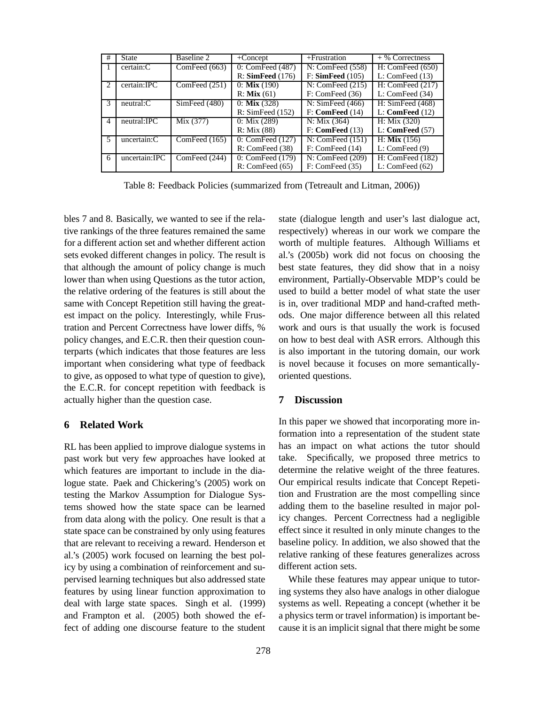| #             | <b>State</b>     | Baseline 2    | $+$ Concept                    | $+$ Frustration    | $+$ % Correctness              |
|---------------|------------------|---------------|--------------------------------|--------------------|--------------------------------|
|               | certain:C        | ComFeed (663) | $\overline{0}$ : ComFeed (487) | N: ComFeed (558)   | H: ComFeed (650)               |
|               |                  |               | R: SimFeed (176)               | F: SimFeed(105)    | L: ComFeed $(13)$              |
| $\mathcal{L}$ | certain:IPC      | ComFeed (251) | $0:$ Mix $(190)$               | N: ComFeed (215)   | H: ComFeed (217)               |
|               |                  |               | $R:$ <b>Mix</b> (61)           | F: ComFeed (36)    | L: ComFeed (34)                |
| 3             | $neutrals$ : $C$ | SimFeed (480) | $0:$ Mix $(328)$               | N: SimFeed (466)   | H: SimFeed (468)               |
|               |                  |               | R: SimFeed (152)               | F: ComFeed (14)    | $L:$ ComFeed $(12)$            |
| 4             | neutral:IPC      | Mix (377)     | $0: \text{Mix } (289)$         | N: Mix(364)        | H: Mix(320)                    |
|               |                  |               | R: Mix(88)                     | F: ComFeed (13)    | $L:$ ComFeed $(57)$            |
|               | uncertain:C      | ComFeed (165) | 0: ComFeed (127)               | N: ComFeed $(151)$ | $H:$ Mix $(156)$               |
|               |                  |               | R: ComFeed (38)                | F: ComFeed (14)    | L: ComFeed(9)                  |
| 6             | uncertain:IPC    | ComFeed (244) | 0: ComFeed (179)               | N: ComFeed (209)   | $\overline{H}$ : ComFeed (182) |
|               |                  |               | R: ComFeed (65)                | F: ComFeed (35)    | L: ComFeed $(62)$              |

Table 8: Feedback Policies (summarized from (Tetreault and Litman, 2006))

bles 7 and 8. Basically, we wanted to see if the relative rankings of the three features remained the same for a different action set and whether different action sets evoked different changes in policy. The result is that although the amount of policy change is much lower than when using Questions as the tutor action, the relative ordering of the features is still about the same with Concept Repetition still having the greatest impact on the policy. Interestingly, while Frustration and Percent Correctness have lower diffs, % policy changes, and E.C.R. then their question counterparts (which indicates that those features are less important when considering what type of feedback to give, as opposed to what type of question to give), the E.C.R. for concept repetition with feedback is actually higher than the question case.

# **6 Related Work**

RL has been applied to improve dialogue systems in past work but very few approaches have looked at which features are important to include in the dialogue state. Paek and Chickering's (2005) work on testing the Markov Assumption for Dialogue Systems showed how the state space can be learned from data along with the policy. One result is that a state space can be constrained by only using features that are relevant to receiving a reward. Henderson et al.'s (2005) work focused on learning the best policy by using a combination of reinforcement and supervised learning techniques but also addressed state features by using linear function approximation to deal with large state spaces. Singh et al. (1999) and Frampton et al. (2005) both showed the effect of adding one discourse feature to the student state (dialogue length and user's last dialogue act, respectively) whereas in our work we compare the worth of multiple features. Although Williams et al.'s (2005b) work did not focus on choosing the best state features, they did show that in a noisy environment, Partially-Observable MDP's could be used to build a better model of what state the user is in, over traditional MDP and hand-crafted methods. One major difference between all this related work and ours is that usually the work is focused on how to best deal with ASR errors. Although this is also important in the tutoring domain, our work is novel because it focuses on more semanticallyoriented questions.

# **7 Discussion**

In this paper we showed that incorporating more information into a representation of the student state has an impact on what actions the tutor should take. Specifically, we proposed three metrics to determine the relative weight of the three features. Our empirical results indicate that Concept Repetition and Frustration are the most compelling since adding them to the baseline resulted in major policy changes. Percent Correctness had a negligible effect since it resulted in only minute changes to the baseline policy. In addition, we also showed that the relative ranking of these features generalizes across different action sets.

While these features may appear unique to tutoring systems they also have analogs in other dialogue systems as well. Repeating a concept (whether it be a physics term or travel information) is important because it is an implicit signal that there might be some